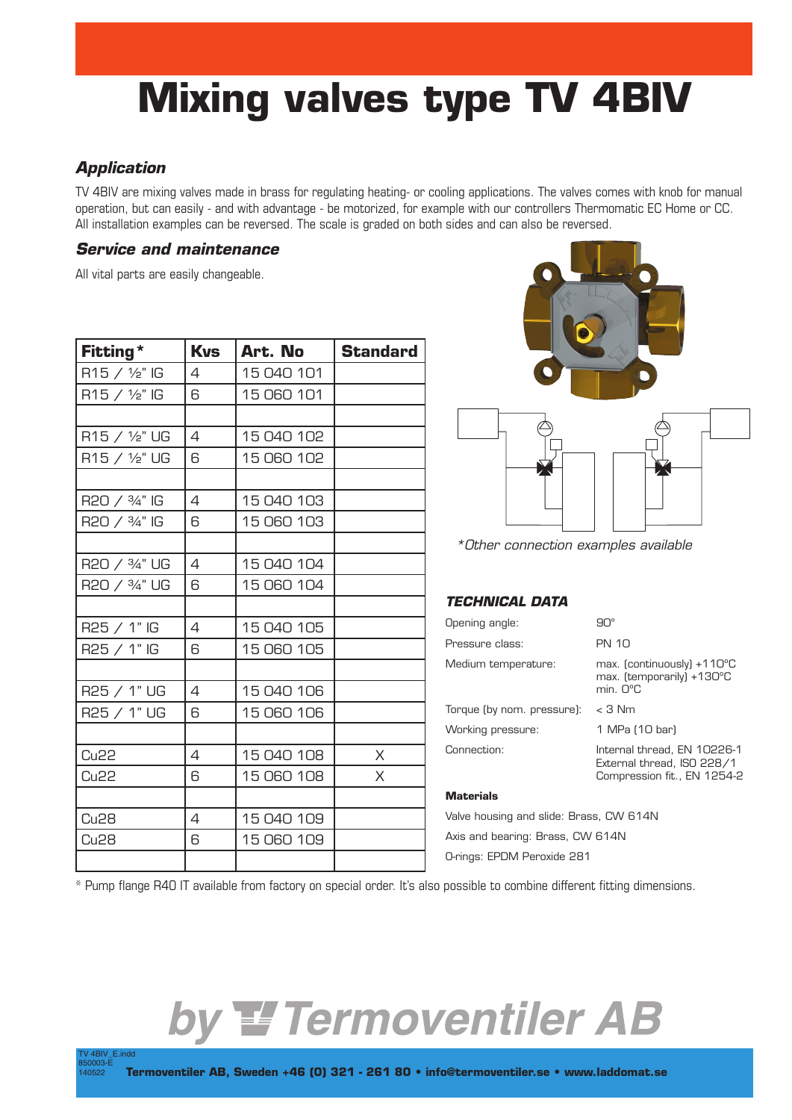# **Mixing valves type TV 4BIV**

# *Application*

TV 4BIV\_E.indd

TV 4BIV are mixing valves made in brass for regulating heating- or cooling applications. The valves comes with knob for manual operation, but can easily - and with advantage - be motorized, for example with our controllers Thermomatic EC Home or CC. All installation examples can be reversed. The scale is graded on both sides and can also be reversed.

#### *Service and maintenance*

All vital parts are easily changeable.

| Fitting*                   | <b>Kvs</b>     | Art. No    | <b>Standard</b> |
|----------------------------|----------------|------------|-----------------|
| R15 / 1/ <sub>2</sub> " IG | 4              | 15 040 101 |                 |
| R15 / 1/ <sub>2</sub> " IG | 6              | 15 060 101 |                 |
|                            |                |            |                 |
| R15 / 1/ <sub>2</sub> " UG | 4              | 15 040 102 |                 |
| R15 / 1/ <sub>2</sub> " UG | 6              | 15 060 102 |                 |
|                            |                |            |                 |
| R20 / 3/4" IG              | 4              | 15 040 103 |                 |
| R20 / 3/4" IG              | 6              | 15 060 103 |                 |
|                            |                |            |                 |
| R20 / 3/4" UG              | $\overline{4}$ | 15 040 104 |                 |
| R20 / 3/4" UG              | 6              | 15 060 104 |                 |
|                            |                |            |                 |
| R25 / 1" IG                | 4              | 15 040 105 |                 |
| R25 / 1" IG                | 6              | 15 060 105 |                 |
|                            |                |            |                 |
| R25 / 1" UG                | 4              | 15 040 106 |                 |
| R25 / 1" UG                | 6              | 15 060 106 |                 |
|                            |                |            |                 |
| <b>Cu22</b>                | 4              | 15 040 108 | $\times$        |
| Cu <sub>22</sub>           | 6              | 15 060 108 | X               |
|                            |                |            |                 |
| <b>Cu28</b>                | 4              | 15 040 109 |                 |
| <b>Cu28</b>                | 6              | 15 060 109 |                 |
|                            |                |            |                 |





*\*Other connection examples available*

# *TECHNICAL DATA*

| Opening angle:             | ЯU°                                                                                                         |  |  |
|----------------------------|-------------------------------------------------------------------------------------------------------------|--|--|
| Pressure class:            | <b>PN 10</b>                                                                                                |  |  |
| Medium temperature:        | max. $[continuously] + 110^{\circ}C$<br>max. (temporarily) +130°C<br>$min$ $\bigcap$ <sup>o</sup> $\bigcap$ |  |  |
| Torque (by nom. pressure): | $<$ 3 Nm                                                                                                    |  |  |
| Working pressure:          | 1 MPa (10 bar)                                                                                              |  |  |
| Connection:                | Internal thread, EN 10226-1<br>External thread, ISO 228/1<br>Compression fit., EN 1254-2                    |  |  |
|                            |                                                                                                             |  |  |

#### **Materials**

Valve housing and slide: Brass, CW 614N Axis and bearing: Brass, CW 614N O-rings: EPDM Peroxide 281

\* Pump flange R40 IT available from factory on special order. It's also possible to combine different fitting dimensions.